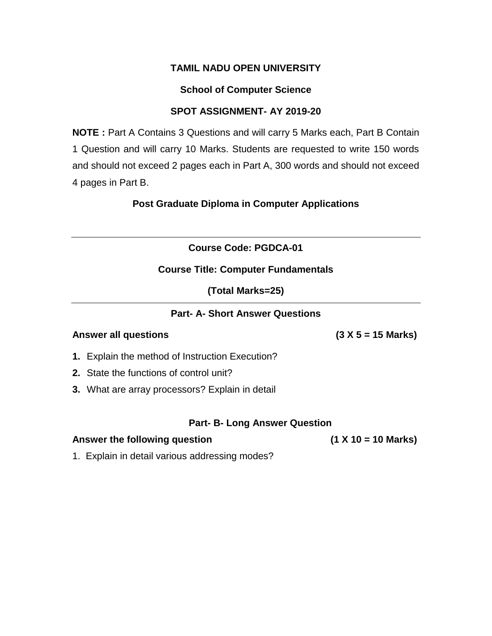### **School of Computer Science**

### **SPOT ASSIGNMENT- AY 2019-20**

**NOTE :** Part A Contains 3 Questions and will carry 5 Marks each, Part B Contain 1 Question and will carry 10 Marks. Students are requested to write 150 words and should not exceed 2 pages each in Part A, 300 words and should not exceed 4 pages in Part B.

**Post Graduate Diploma in Computer Applications**

**Course Code: PGDCA-01**

### **Course Title: Computer Fundamentals**

**(Total Marks=25)**

### **Part- A- Short Answer Questions**

### **Answer all questions (3 X 5 = 15 Marks)**

- **1.** Explain the method of Instruction Execution?
- **2.** State the functions of control unit?
- **3.** What are array processors? Explain in detail

### **Part- B- Long Answer Question**

### **Answer the following question (1 X 10 = 10 Marks)**

1. Explain in detail various addressing modes?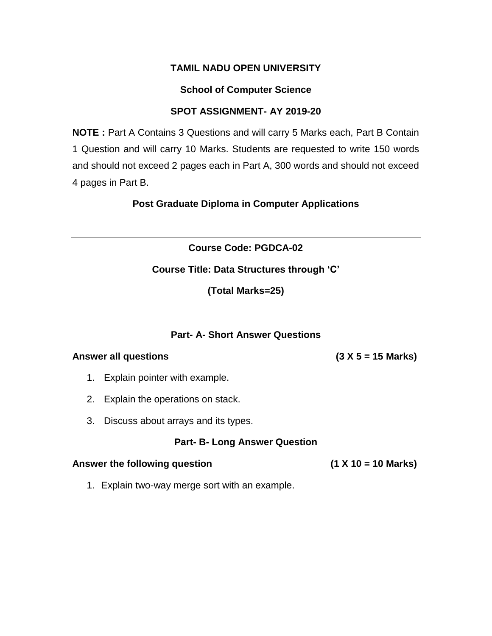### **School of Computer Science**

### **SPOT ASSIGNMENT- AY 2019-20**

**NOTE :** Part A Contains 3 Questions and will carry 5 Marks each, Part B Contain 1 Question and will carry 10 Marks. Students are requested to write 150 words and should not exceed 2 pages each in Part A, 300 words and should not exceed 4 pages in Part B.

**Post Graduate Diploma in Computer Applications**

**Course Code: PGDCA-02**

### **Course Title: Data Structures through 'C'**

**(Total Marks=25)**

### **Part- A- Short Answer Questions**

#### **Answer all questions (3 X 5 = 15 Marks)**

- 1. Explain pointer with example.
- 2. Explain the operations on stack.
- 3. Discuss about arrays and its types.

### **Part- B- Long Answer Question**

#### **Answer the following question (1 X 10 = 10 Marks)**

1. Explain two-way merge sort with an example.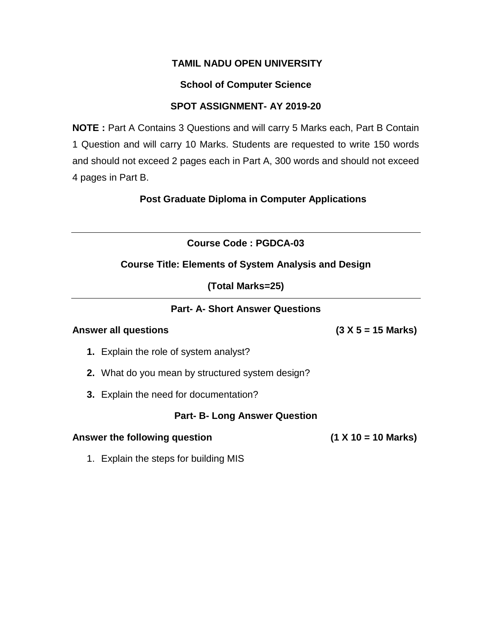# **School of Computer Science**

# **SPOT ASSIGNMENT- AY 2019-20**

**NOTE :** Part A Contains 3 Questions and will carry 5 Marks each, Part B Contain 1 Question and will carry 10 Marks. Students are requested to write 150 words and should not exceed 2 pages each in Part A, 300 words and should not exceed 4 pages in Part B.

**Post Graduate Diploma in Computer Applications**

**Course Code : PGDCA-03**

# **Course Title: Elements of System Analysis and Design**

**(Total Marks=25)**

# **Part- A- Short Answer Questions**

### **Answer all questions (3 X 5 = 15 Marks)**

- **1.** Explain the role of system analyst?
- **2.** What do you mean by structured system design?
- **3.** Explain the need for documentation?

## **Part- B- Long Answer Question**

### **Answer the following question (1 X 10 = 10 Marks)**

1. Explain the steps for building MIS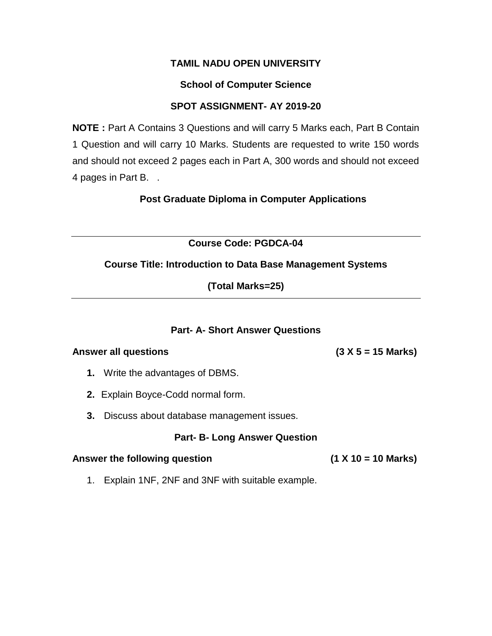## **School of Computer Science**

### **SPOT ASSIGNMENT- AY 2019-20**

**NOTE :** Part A Contains 3 Questions and will carry 5 Marks each, Part B Contain 1 Question and will carry 10 Marks. Students are requested to write 150 words and should not exceed 2 pages each in Part A, 300 words and should not exceed 4 pages in Part B. .

**Post Graduate Diploma in Computer Applications**

**Course Code: PGDCA-04**

## **Course Title: Introduction to Data Base Management Systems**

**(Total Marks=25)**

### **Part- A- Short Answer Questions**

### **Answer all questions (3 X 5 = 15 Marks)**

- **1.** Write the advantages of DBMS.
- **2.** Explain Boyce-Codd normal form.
- **3.** Discuss about database management issues.

### **Part- B- Long Answer Question**

### **Answer the following question (1 X 10 = 10 Marks)**

1. Explain 1NF, 2NF and 3NF with suitable example.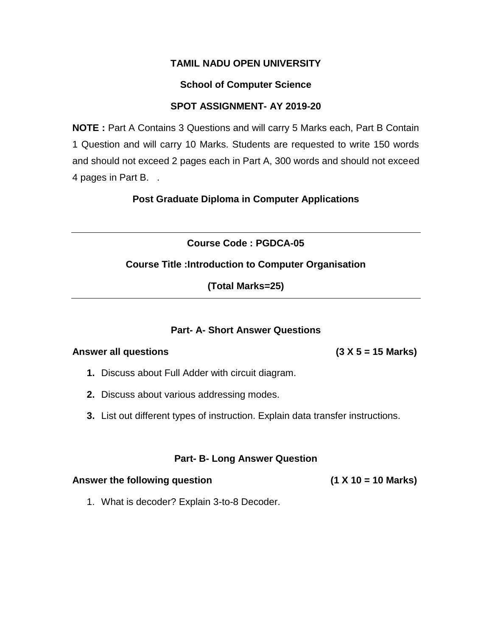### **School of Computer Science**

### **SPOT ASSIGNMENT- AY 2019-20**

**NOTE :** Part A Contains 3 Questions and will carry 5 Marks each, Part B Contain 1 Question and will carry 10 Marks. Students are requested to write 150 words and should not exceed 2 pages each in Part A, 300 words and should not exceed 4 pages in Part B. .

**Post Graduate Diploma in Computer Applications**

**Course Code : PGDCA-05**

### **Course Title :Introduction to Computer Organisation**

**(Total Marks=25)**

### **Part- A- Short Answer Questions**

#### **Answer all questions (3 X 5 = 15 Marks)**

- **1.** Discuss about Full Adder with circuit diagram.
- **2.** Discuss about various addressing modes.
- **3.** List out different types of instruction. Explain data transfer instructions.

### **Part- B- Long Answer Question**

### **Answer the following question (1 X 10 = 10 Marks)**

1. What is decoder? Explain 3-to-8 Decoder.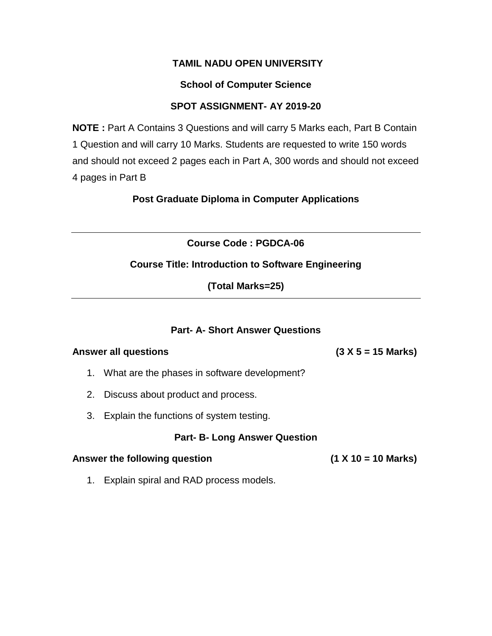### **School of Computer Science**

### **SPOT ASSIGNMENT- AY 2019-20**

**NOTE :** Part A Contains 3 Questions and will carry 5 Marks each, Part B Contain 1 Question and will carry 10 Marks. Students are requested to write 150 words and should not exceed 2 pages each in Part A, 300 words and should not exceed 4 pages in Part B

**Post Graduate Diploma in Computer Applications**

**Course Code : PGDCA-06**

## **Course Title: Introduction to Software Engineering**

**(Total Marks=25)**

### **Part- A- Short Answer Questions**

#### **Answer all questions (3 X 5 = 15 Marks)**

- 1. What are the phases in software development?
- 2. Discuss about product and process.
- 3. Explain the functions of system testing.

### **Part- B- Long Answer Question**

### **Answer the following question (1 X 10 = 10 Marks)**

1. Explain spiral and RAD process models.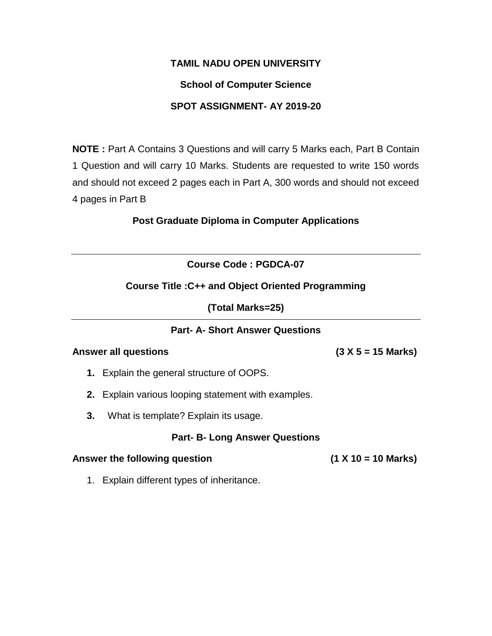### **School of Computer Science**

### **SPOT ASSIGNMENT- AY 2019-20**

**NOTE :** Part A Contains 3 Questions and will carry 5 Marks each, Part B Contain 1 Question and will carry 10 Marks. Students are requested to write 150 words and should not exceed 2 pages each in Part A, 300 words and should not exceed 4 pages in Part B

### **Post Graduate Diploma in Computer Applications**

## **Course Code : PGDCA-07**

### **Course Title :C++ and Object Oriented Programming**

**(Total Marks=25)**

### **Part- A- Short Answer Questions**

#### **Answer all questions (3 X 5 = 15 Marks)**

**1.** Explain the general structure of OOPS.

- **2.** Explain various looping statement with examples.
- **3.** What is template? Explain its usage.

### **Part- B- Long Answer Questions**

#### **Answer the following question (1 X 10 = 10 Marks)**

1. Explain different types of inheritance.